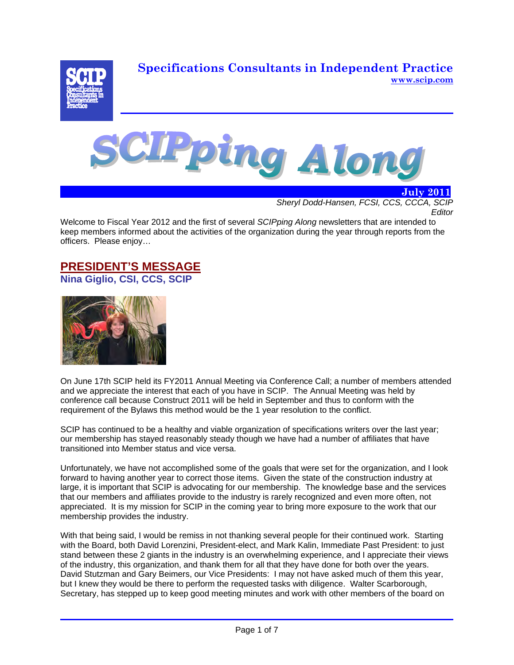**Specifications Consultants in Independent Practice www.scip.com**





*Sheryl Dodd-Hansen, FCSI, CCS, CCCA, SCIP Editor* 

 **July 2011**

Welcome to Fiscal Year 2012 and the first of several *SCIPping Along* newsletters that are intended to keep members informed about the activities of the organization during the year through reports from the officers. Please enjoy…

### **PRESIDENT'S MESSAGE Nina Giglio, CSI, CCS, SCIP**



On June 17th SCIP held its FY2011 Annual Meeting via Conference Call; a number of members attended and we appreciate the interest that each of you have in SCIP. The Annual Meeting was held by conference call because Construct 2011 will be held in September and thus to conform with the requirement of the Bylaws this method would be the 1 year resolution to the conflict.

SCIP has continued to be a healthy and viable organization of specifications writers over the last year; our membership has stayed reasonably steady though we have had a number of affiliates that have transitioned into Member status and vice versa.

Unfortunately, we have not accomplished some of the goals that were set for the organization, and I look forward to having another year to correct those items. Given the state of the construction industry at large, it is important that SCIP is advocating for our membership. The knowledge base and the services that our members and affiliates provide to the industry is rarely recognized and even more often, not appreciated. It is my mission for SCIP in the coming year to bring more exposure to the work that our membership provides the industry.

With that being said, I would be remiss in not thanking several people for their continued work. Starting with the Board, both David Lorenzini, President-elect, and Mark Kalin, Immediate Past President: to just stand between these 2 giants in the industry is an overwhelming experience, and I appreciate their views of the industry, this organization, and thank them for all that they have done for both over the years. David Stutzman and Gary Beimers, our Vice Presidents: I may not have asked much of them this year, but I knew they would be there to perform the requested tasks with diligence. Walter Scarborough, Secretary, has stepped up to keep good meeting minutes and work with other members of the board on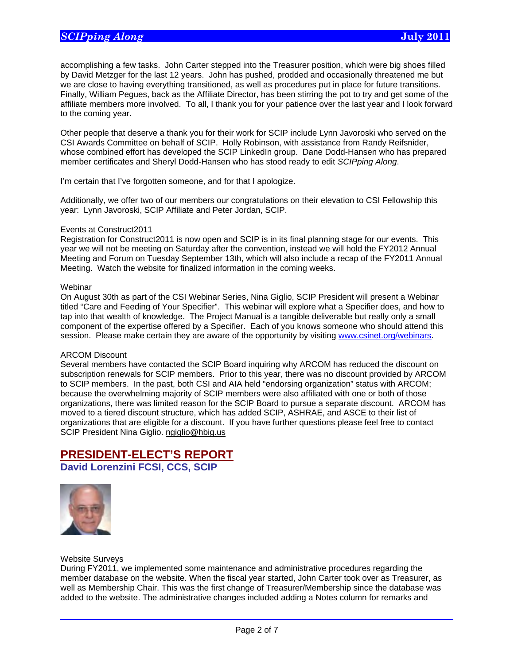accomplishing a few tasks. John Carter stepped into the Treasurer position, which were big shoes filled by David Metzger for the last 12 years. John has pushed, prodded and occasionally threatened me but we are close to having everything transitioned, as well as procedures put in place for future transitions. Finally, William Pegues, back as the Affiliate Director, has been stirring the pot to try and get some of the affiliate members more involved. To all, I thank you for your patience over the last year and I look forward to the coming year.

Other people that deserve a thank you for their work for SCIP include Lynn Javoroski who served on the CSI Awards Committee on behalf of SCIP. Holly Robinson, with assistance from Randy Reifsnider, whose combined effort has developed the SCIP LinkedIn group. Dane Dodd-Hansen who has prepared member certificates and Sheryl Dodd-Hansen who has stood ready to edit *SCIPping Along*.

I'm certain that I've forgotten someone, and for that I apologize.

Additionally, we offer two of our members our congratulations on their elevation to CSI Fellowship this year: Lynn Javoroski, SCIP Affiliate and Peter Jordan, SCIP.

### Events at Construct2011

Registration for Construct2011 is now open and SCIP is in its final planning stage for our events. This year we will not be meeting on Saturday after the convention, instead we will hold the FY2012 Annual Meeting and Forum on Tuesday September 13th, which will also include a recap of the FY2011 Annual Meeting. Watch the website for finalized information in the coming weeks.

#### **Webinar**

On August 30th as part of the CSI Webinar Series, Nina Giglio, SCIP President will present a Webinar titled "Care and Feeding of Your Specifier". This webinar will explore what a Specifier does, and how to tap into that wealth of knowledge. The Project Manual is a tangible deliverable but really only a small component of the expertise offered by a Specifier. Each of you knows someone who should attend this session. Please make certain they are aware of the opportunity by visiting www.csinet.org/webinars.

#### ARCOM Discount

Several members have contacted the SCIP Board inquiring why ARCOM has reduced the discount on subscription renewals for SCIP members. Prior to this year, there was no discount provided by ARCOM to SCIP members. In the past, both CSI and AIA held "endorsing organization" status with ARCOM; because the overwhelming majority of SCIP members were also affiliated with one or both of those organizations, there was limited reason for the SCIP Board to pursue a separate discount. ARCOM has moved to a tiered discount structure, which has added SCIP, ASHRAE, and ASCE to their list of organizations that are eligible for a discount. If you have further questions please feel free to contact SCIP President Nina Giglio. ngiglio@hbig.us

# **PRESIDENT-ELECT'S REPORT**

**David Lorenzini FCSI, CCS, SCIP**



Website Surveys

 $\overline{a}$ 

During FY2011, we implemented some maintenance and administrative procedures regarding the member database on the website. When the fiscal year started, John Carter took over as Treasurer, as well as Membership Chair. This was the first change of Treasurer/Membership since the database was added to the website. The administrative changes included adding a Notes column for remarks and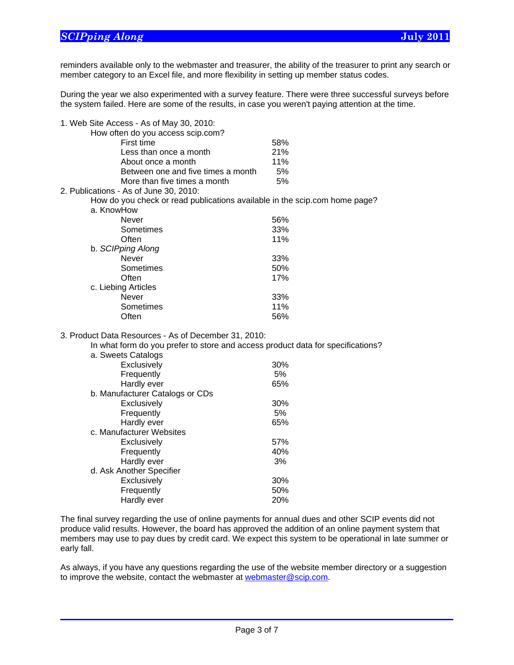$\overline{a}$ 

reminders available only to the webmaster and treasurer, the ability of the treasurer to print any search or member category to an Excel file, and more flexibility in setting up member status codes.

During the year we also experimented with a survey feature. There were three successful surveys before the system failed. Here are some of the results, in case you weren't paying attention at the time.

| 1. Web Site Access - As of May 30, 2010:                                                                                                |     |
|-----------------------------------------------------------------------------------------------------------------------------------------|-----|
| How often do you access scip.com?                                                                                                       |     |
| First time                                                                                                                              | 58% |
| Less than once a month                                                                                                                  | 21% |
| About once a month                                                                                                                      | 11% |
| Between one and five times a month                                                                                                      | 5%  |
| More than five times a month                                                                                                            | 5%  |
| 2. Publications - As of June 30, 2010:                                                                                                  |     |
| How do you check or read publications available in the scip.com home page?                                                              |     |
| a. KnowHow                                                                                                                              |     |
| <b>Never</b>                                                                                                                            | 56% |
| Sometimes                                                                                                                               | 33% |
| Often                                                                                                                                   | 11% |
| b. SCIPping Along                                                                                                                       |     |
| <b>Never</b>                                                                                                                            | 33% |
| Sometimes                                                                                                                               | 50% |
| Often                                                                                                                                   | 17% |
| c. Liebing Articles                                                                                                                     |     |
| Never                                                                                                                                   | 33% |
| Sometimes                                                                                                                               | 11% |
| Often                                                                                                                                   | 56% |
|                                                                                                                                         |     |
| 3. Product Data Resources - As of December 31, 2010:<br>In what form do you prefer to store and access product data for specifications? |     |
|                                                                                                                                         |     |
| a. Sweets Catalogs                                                                                                                      |     |
| Exclusively                                                                                                                             | 30% |
| Frequently                                                                                                                              | 5%  |
| Hardly ever                                                                                                                             | 65% |
| b. Manufacturer Catalogs or CDs                                                                                                         |     |
| Exclusively                                                                                                                             | 30% |
| Frequently                                                                                                                              | 5%  |
| Hardly ever                                                                                                                             | 65% |
| c. Manufacturer Websites                                                                                                                |     |
| Exclusively                                                                                                                             | 57% |
| Frequently                                                                                                                              | 40% |
| Hardly ever                                                                                                                             | 3%  |
| d. Ask Another Specifier                                                                                                                |     |
| Exclusively                                                                                                                             | 30% |
| Frequently                                                                                                                              | 50% |
| Hardly ever                                                                                                                             | 20% |

The final survey regarding the use of online payments for annual dues and other SCIP events did not produce valid results. However, the board has approved the addition of an online payment system that members may use to pay dues by credit card. We expect this system to be operational in late summer or early fall.

As always, if you have any questions regarding the use of the website member directory or a suggestion to improve the website, contact the webmaster at webmaster@scip.com.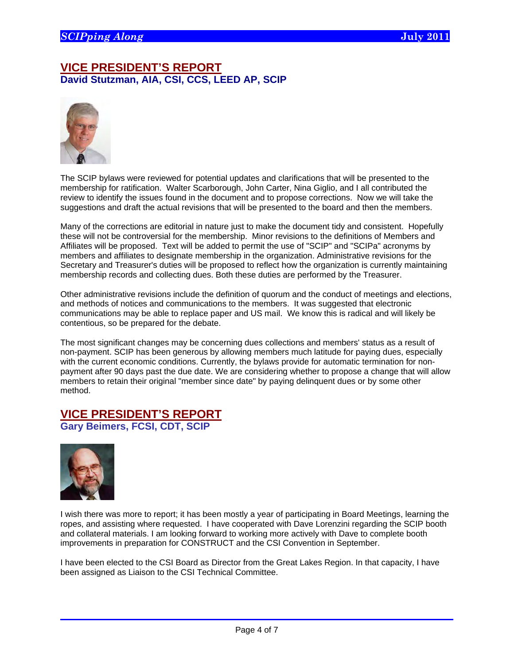## **VICE PRESIDENT'S REPORT David Stutzman, AIA, CSI, CCS, LEED AP, SCIP**



The SCIP bylaws were reviewed for potential updates and clarifications that will be presented to the membership for ratification. Walter Scarborough, John Carter, Nina Giglio, and I all contributed the review to identify the issues found in the document and to propose corrections. Now we will take the suggestions and draft the actual revisions that will be presented to the board and then the members.

Many of the corrections are editorial in nature just to make the document tidy and consistent. Hopefully these will not be controversial for the membership. Minor revisions to the definitions of Members and Affiliates will be proposed. Text will be added to permit the use of "SCIP" and "SCIPa" acronyms by members and affiliates to designate membership in the organization. Administrative revisions for the Secretary and Treasurer's duties will be proposed to reflect how the organization is currently maintaining membership records and collecting dues. Both these duties are performed by the Treasurer.

Other administrative revisions include the definition of quorum and the conduct of meetings and elections, and methods of notices and communications to the members. It was suggested that electronic communications may be able to replace paper and US mail. We know this is radical and will likely be contentious, so be prepared for the debate.

The most significant changes may be concerning dues collections and members' status as a result of non-payment. SCIP has been generous by allowing members much latitude for paying dues, especially with the current economic conditions. Currently, the bylaws provide for automatic termination for nonpayment after 90 days past the due date. We are considering whether to propose a change that will allow members to retain their original "member since date" by paying delinquent dues or by some other method.

# **VICE PRESIDENT'S REPORT**

**Gary Beimers, FCSI, CDT, SCIP** 



 $\overline{a}$ 

I wish there was more to report; it has been mostly a year of participating in Board Meetings, learning the ropes, and assisting where requested. I have cooperated with Dave Lorenzini regarding the SCIP booth and collateral materials. I am looking forward to working more actively with Dave to complete booth improvements in preparation for CONSTRUCT and the CSI Convention in September.

I have been elected to the CSI Board as Director from the Great Lakes Region. In that capacity, I have been assigned as Liaison to the CSI Technical Committee.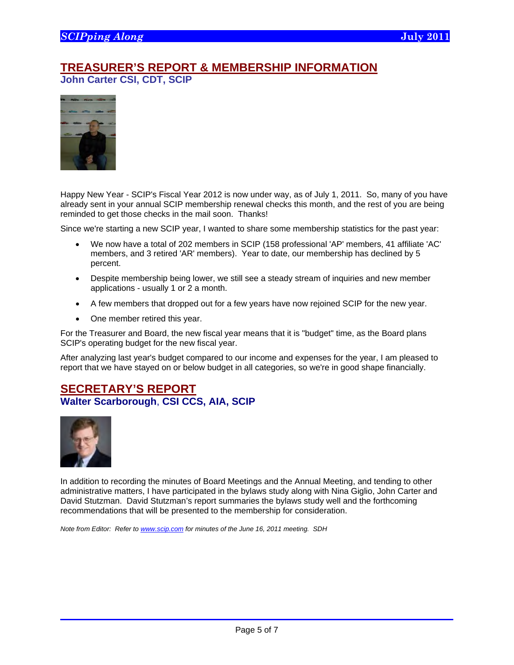## **TREASURER'S REPORT & MEMBERSHIP INFORMATION John Carter CSI, CDT, SCIP**



Happy New Year - SCIP's Fiscal Year 2012 is now under way, as of July 1, 2011. So, many of you have already sent in your annual SCIP membership renewal checks this month, and the rest of you are being reminded to get those checks in the mail soon. Thanks!

Since we're starting a new SCIP year, I wanted to share some membership statistics for the past year:

- We now have a total of 202 members in SCIP (158 professional 'AP' members, 41 affiliate 'AC' members, and 3 retired 'AR' members). Year to date, our membership has declined by 5 percent.
- Despite membership being lower, we still see a steady stream of inquiries and new member applications - usually 1 or 2 a month.
- A few members that dropped out for a few years have now rejoined SCIP for the new year.
- One member retired this year.

For the Treasurer and Board, the new fiscal year means that it is "budget" time, as the Board plans SCIP's operating budget for the new fiscal year.

After analyzing last year's budget compared to our income and expenses for the year, I am pleased to report that we have stayed on or below budget in all categories, so we're in good shape financially.

## **SECRETARY'S REPORT Walter Scarborough**, **CSI CCS, AIA, SCIP**



 $\overline{a}$ 

In addition to recording the minutes of Board Meetings and the Annual Meeting, and tending to other administrative matters, I have participated in the bylaws study along with Nina Giglio, John Carter and David Stutzman. David Stutzman's report summaries the bylaws study well and the forthcoming recommendations that will be presented to the membership for consideration.

*Note from Editor: Refer to www.scip.com for minutes of the June 16, 2011 meeting. SDH*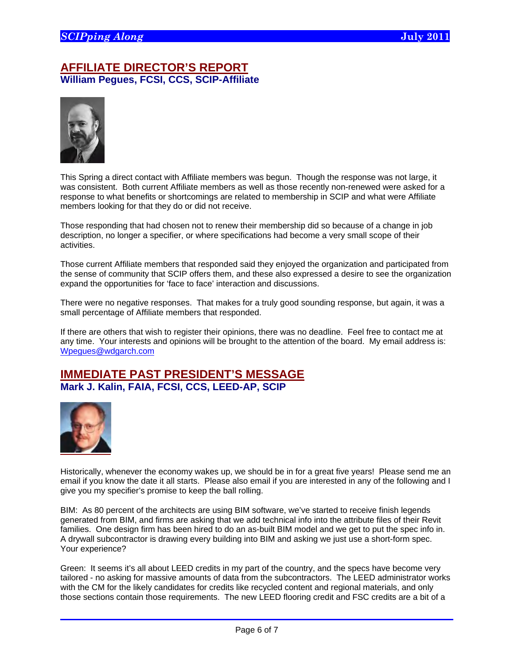## **AFFILIATE DIRECTOR'S REPORT William Pegues, FCSI, CCS, SCIP-Affiliate**



This Spring a direct contact with Affiliate members was begun. Though the response was not large, it was consistent. Both current Affiliate members as well as those recently non-renewed were asked for a response to what benefits or shortcomings are related to membership in SCIP and what were Affiliate members looking for that they do or did not receive.

Those responding that had chosen not to renew their membership did so because of a change in job description, no longer a specifier, or where specifications had become a very small scope of their activities.

Those current Affiliate members that responded said they enjoyed the organization and participated from the sense of community that SCIP offers them, and these also expressed a desire to see the organization expand the opportunities for 'face to face' interaction and discussions.

There were no negative responses. That makes for a truly good sounding response, but again, it was a small percentage of Affiliate members that responded.

If there are others that wish to register their opinions, there was no deadline. Feel free to contact me at any time. Your interests and opinions will be brought to the attention of the board. My email address is: Wpegues@wdgarch.com

### **IMMEDIATE PAST PRESIDENT'S MESSAGE Mark J. Kalin, FAIA, FCSI, CCS, LEED-AP, SCIP**



 $\overline{a}$ 

Historically, whenever the economy wakes up, we should be in for a great five years! Please send me an email if you know the date it all starts. Please also email if you are interested in any of the following and I give you my specifier's promise to keep the ball rolling.

BIM: As 80 percent of the architects are using BIM software, we've started to receive finish legends generated from BIM, and firms are asking that we add technical info into the attribute files of their Revit families. One design firm has been hired to do an as-built BIM model and we get to put the spec info in. A drywall subcontractor is drawing every building into BIM and asking we just use a short-form spec. Your experience?

Green: It seems it's all about LEED credits in my part of the country, and the specs have become very tailored - no asking for massive amounts of data from the subcontractors. The LEED administrator works with the CM for the likely candidates for credits like recycled content and regional materials, and only those sections contain those requirements. The new LEED flooring credit and FSC credits are a bit of a